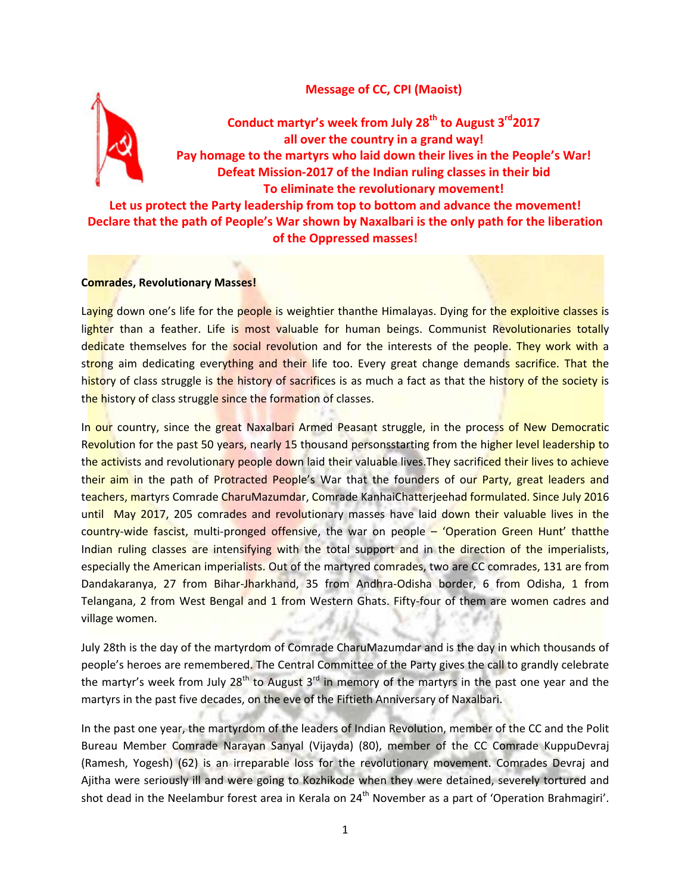# **Message of CC, CPI (Maoist)**



**Conduct martyr's week from July 28th to August 3rd2017 all over the country in a grand way! Pay homage to the martyrs who laid down their lives in the People's War! Defeat Mission-2017 of the Indian ruling classes in their bid To eliminate the revolutionary movement!**

**Let us protect the Party leadership from top to bottom and advance the movement! Declare that the path of People's War shown by Naxalbari is the only path for the liberation of the Oppressed masses!**

#### **Comrades, Revolutionary Masses!**

Laying down one's life for the people is weightier thanthe Himalayas. Dying for the exploitive classes is lighter than a feather. Life is most valuable for human beings. Communist Revolutionaries totally dedicate themselves for the social revolution and for the interests of the people. They work with a strong aim dedicating everything and their life too. Every great change demands sacrifice. That the history of class struggle is the history of sacrifices is as much a fact as that the history of the society is the history of class struggle since the formation of classes.

In our country, since the great Naxalbari Armed Peasant struggle, in the process of New Democratic Revolution for the past 50 years, nearly 15 thousand personsstarting from the higher level leadership to the activists and revolutionary people down laid their valuable lives. They sacrificed their lives to achieve their aim in the path of Protracted People's War that the founders of our Party, great leaders and teachers, martyrs Comrade CharuMazumdar, Comrade KanhaiChatterjeehad formulated. Since July 2016 until May 2017, 205 comrades and revolutionary masses have laid down their valuable lives in the country-wide fascist, multi-pronged offensive, the war on people – 'Operation Green Hunt' thatthe Indian ruling classes are intensifying with the total support and in the direction of the imperialists, especially the American imperialists. Out of the martyred comrades, two are CC comrades, 131 are from Dandakaranya, 27 from Bihar-Jharkhand, 35 from Andhra-Odisha border, 6 from Odisha, 1 from Telangana, 2 from West Bengal and 1 from Western Ghats. Fifty-four of them are women cadres and village women.

July 28th is the day of the martyrdom of Comrade CharuMazumdar and is the day in which thousands of people's heroes are remembered. The Central Committee of the Party gives the call to grandly celebrate the martyr's week from July  $28<sup>th</sup>$  to August  $3<sup>rd</sup>$  in memory of the martyrs in the past one year and the martyrs in the past five decades, on the eve of the Fiftieth Anniversary of Naxalbari.

In the past one year, the martyrdom of the leaders of Indian Revolution, member of the CC and the Polit Bureau Member Comrade Narayan Sanyal (Vijayda) (80), member of the CC Comrade KuppuDevraj (Ramesh, Yogesh) (62) is an irreparable loss for the revolutionary movement. Comrades Devraj and Ajitha were seriously ill and were going to Kozhikode when they were detained, severely tortured and shot dead in the Neelambur forest area in Kerala on 24<sup>th</sup> November as a part of 'Operation Brahmagiri'.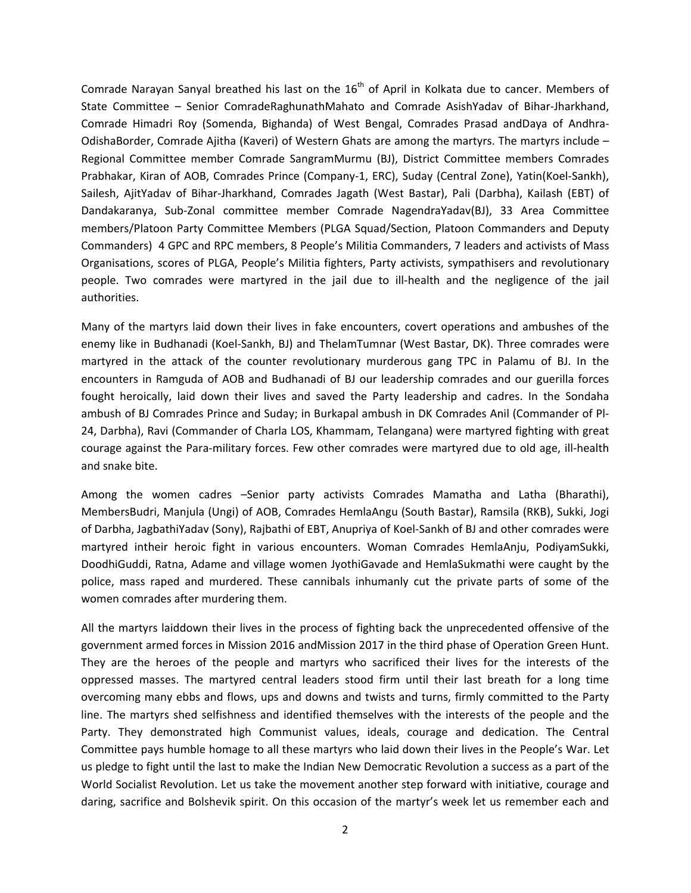Comrade Narayan Sanyal breathed his last on the  $16<sup>th</sup>$  of April in Kolkata due to cancer. Members of State Committee – Senior ComradeRaghunathMahato and Comrade AsishYadav of Bihar-Jharkhand, Comrade Himadri Roy (Somenda, Bighanda) of West Bengal, Comrades Prasad andDaya of Andhra-OdishaBorder, Comrade Ajitha (Kaveri) of Western Ghats are among the martyrs. The martyrs include – Regional Committee member Comrade SangramMurmu (BJ), District Committee members Comrades Prabhakar, Kiran of AOB, Comrades Prince (Company-1, ERC), Suday (Central Zone), Yatin(Koel-Sankh), Sailesh, AjitYadav of Bihar-Jharkhand, Comrades Jagath (West Bastar), Pali (Darbha), Kailash (EBT) of Dandakaranya, Sub-Zonal committee member Comrade NagendraYadav(BJ), 33 Area Committee members/Platoon Party Committee Members (PLGA Squad/Section, Platoon Commanders and Deputy Commanders) 4 GPC and RPC members, 8 People's Militia Commanders, 7 leaders and activists of Mass Organisations, scores of PLGA, People's Militia fighters, Party activists, sympathisers and revolutionary people. Two comrades were martyred in the jail due to ill-health and the negligence of the jail authorities.

Many of the martyrs laid down their lives in fake encounters, covert operations and ambushes of the enemy like in Budhanadi (Koel-Sankh, BJ) and ThelamTumnar (West Bastar, DK). Three comrades were martyred in the attack of the counter revolutionary murderous gang TPC in Palamu of BJ. In the encounters in Ramguda of AOB and Budhanadi of BJ our leadership comrades and our guerilla forces fought heroically, laid down their lives and saved the Party leadership and cadres. In the Sondaha ambush of BJ Comrades Prince and Suday; in Burkapal ambush in DK Comrades Anil (Commander of Pl-24, Darbha), Ravi (Commander of Charla LOS, Khammam, Telangana) were martyred fighting with great courage against the Para-military forces. Few other comrades were martyred due to old age, ill-health and snake bite.

Among the women cadres –Senior party activists Comrades Mamatha and Latha (Bharathi), MembersBudri, Manjula (Ungi) of AOB, Comrades HemlaAngu (South Bastar), Ramsila (RKB), Sukki, Jogi of Darbha, JagbathiYadav (Sony), Rajbathi of EBT, Anupriya of Koel-Sankh of BJ and other comrades were martyred intheir heroic fight in various encounters. Woman Comrades HemlaAnju, PodiyamSukki, DoodhiGuddi, Ratna, Adame and village women JyothiGavade and HemlaSukmathi were caught by the police, mass raped and murdered. These cannibals inhumanly cut the private parts of some of the women comrades after murdering them.

All the martyrs laiddown their lives in the process of fighting back the unprecedented offensive of the government armed forces in Mission 2016 andMission 2017 in the third phase of Operation Green Hunt. They are the heroes of the people and martyrs who sacrificed their lives for the interests of the oppressed masses. The martyred central leaders stood firm until their last breath for a long time overcoming many ebbs and flows, ups and downs and twists and turns, firmly committed to the Party line. The martyrs shed selfishness and identified themselves with the interests of the people and the Party. They demonstrated high Communist values, ideals, courage and dedication. The Central Committee pays humble homage to all these martyrs who laid down their lives in the People's War. Let us pledge to fight until the last to make the Indian New Democratic Revolution a success as a part of the World Socialist Revolution. Let us take the movement another step forward with initiative, courage and daring, sacrifice and Bolshevik spirit. On this occasion of the martyr's week let us remember each and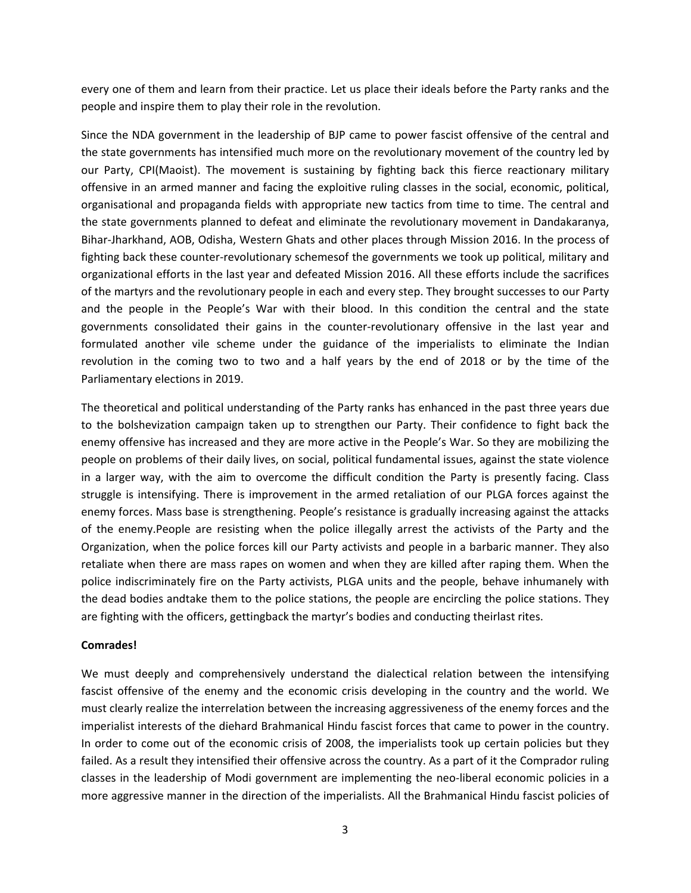every one of them and learn from their practice. Let us place their ideals before the Party ranks and the people and inspire them to play their role in the revolution.

Since the NDA government in the leadership of BJP came to power fascist offensive of the central and the state governments has intensified much more on the revolutionary movement of the country led by our Party, CPI(Maoist). The movement is sustaining by fighting back this fierce reactionary military offensive in an armed manner and facing the exploitive ruling classes in the social, economic, political, organisational and propaganda fields with appropriate new tactics from time to time. The central and the state governments planned to defeat and eliminate the revolutionary movement in Dandakaranya, Bihar-Jharkhand, AOB, Odisha, Western Ghats and other places through Mission 2016. In the process of fighting back these counter-revolutionary schemesof the governments we took up political, military and organizational efforts in the last year and defeated Mission 2016. All these efforts include the sacrifices of the martyrs and the revolutionary people in each and every step. They brought successes to our Party and the people in the People's War with their blood. In this condition the central and the state governments consolidated their gains in the counter-revolutionary offensive in the last year and formulated another vile scheme under the guidance of the imperialists to eliminate the Indian revolution in the coming two to two and a half years by the end of 2018 or by the time of the Parliamentary elections in 2019.

The theoretical and political understanding of the Party ranks has enhanced in the past three years due to the bolshevization campaign taken up to strengthen our Party. Their confidence to fight back the enemy offensive has increased and they are more active in the People's War. So they are mobilizing the people on problems of their daily lives, on social, political fundamental issues, against the state violence in a larger way, with the aim to overcome the difficult condition the Party is presently facing. Class struggle is intensifying. There is improvement in the armed retaliation of our PLGA forces against the enemy forces. Mass base is strengthening. People's resistance is gradually increasing against the attacks of the enemy.People are resisting when the police illegally arrest the activists of the Party and the Organization, when the police forces kill our Party activists and people in a barbaric manner. They also retaliate when there are mass rapes on women and when they are killed after raping them. When the police indiscriminately fire on the Party activists, PLGA units and the people, behave inhumanely with the dead bodies andtake them to the police stations, the people are encircling the police stations. They are fighting with the officers, gettingback the martyr's bodies and conducting theirlast rites.

## **Comrades!**

We must deeply and comprehensively understand the dialectical relation between the intensifying fascist offensive of the enemy and the economic crisis developing in the country and the world. We must clearly realize the interrelation between the increasing aggressiveness of the enemy forces and the imperialist interests of the diehard Brahmanical Hindu fascist forces that came to power in the country. In order to come out of the economic crisis of 2008, the imperialists took up certain policies but they failed. As a result they intensified their offensive across the country. As a part of it the Comprador ruling classes in the leadership of Modi government are implementing the neo-liberal economic policies in a more aggressive manner in the direction of the imperialists. All the Brahmanical Hindu fascist policies of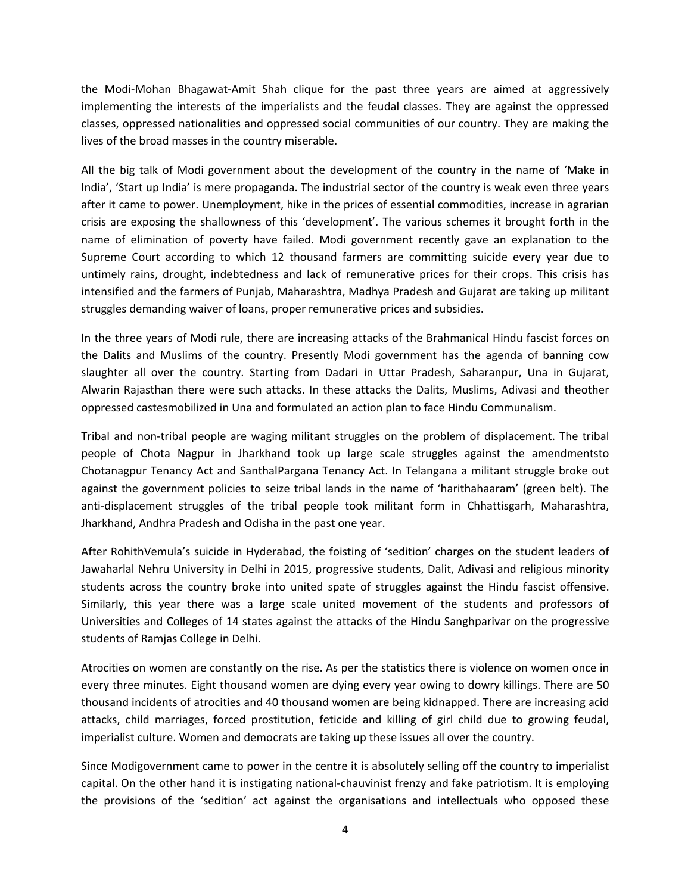the Modi-Mohan Bhagawat-Amit Shah clique for the past three years are aimed at aggressively implementing the interests of the imperialists and the feudal classes. They are against the oppressed classes, oppressed nationalities and oppressed social communities of our country. They are making the lives of the broad masses in the country miserable.

All the big talk of Modi government about the development of the country in the name of 'Make in India', 'Start up India' is mere propaganda. The industrial sector of the country is weak even three years after it came to power. Unemployment, hike in the prices of essential commodities, increase in agrarian crisis are exposing the shallowness of this 'development'. The various schemes it brought forth in the name of elimination of poverty have failed. Modi government recently gave an explanation to the Supreme Court according to which 12 thousand farmers are committing suicide every year due to untimely rains, drought, indebtedness and lack of remunerative prices for their crops. This crisis has intensified and the farmers of Punjab, Maharashtra, Madhya Pradesh and Gujarat are taking up militant struggles demanding waiver of loans, proper remunerative prices and subsidies.

In the three years of Modi rule, there are increasing attacks of the Brahmanical Hindu fascist forces on the Dalits and Muslims of the country. Presently Modi government has the agenda of banning cow slaughter all over the country. Starting from Dadari in Uttar Pradesh, Saharanpur, Una in Gujarat, Alwarin Rajasthan there were such attacks. In these attacks the Dalits, Muslims, Adivasi and theother oppressed castesmobilized in Una and formulated an action plan to face Hindu Communalism.

Tribal and non-tribal people are waging militant struggles on the problem of displacement. The tribal people of Chota Nagpur in Jharkhand took up large scale struggles against the amendmentsto Chotanagpur Tenancy Act and SanthalPargana Tenancy Act. In Telangana a militant struggle broke out against the government policies to seize tribal lands in the name of 'harithahaaram' (green belt). The anti-displacement struggles of the tribal people took militant form in Chhattisgarh, Maharashtra, Jharkhand, Andhra Pradesh and Odisha in the past one year.

After RohithVemula's suicide in Hyderabad, the foisting of 'sedition' charges on the student leaders of Jawaharlal Nehru University in Delhi in 2015, progressive students, Dalit, Adivasi and religious minority students across the country broke into united spate of struggles against the Hindu fascist offensive. Similarly, this year there was a large scale united movement of the students and professors of Universities and Colleges of 14 states against the attacks of the Hindu Sanghparivar on the progressive students of Ramjas College in Delhi.

Atrocities on women are constantly on the rise. As per the statistics there is violence on women once in every three minutes. Eight thousand women are dying every year owing to dowry killings. There are 50 thousand incidents of atrocities and 40 thousand women are being kidnapped. There are increasing acid attacks, child marriages, forced prostitution, feticide and killing of girl child due to growing feudal, imperialist culture. Women and democrats are taking up these issues all over the country.

Since Modigovernment came to power in the centre it is absolutely selling off the country to imperialist capital. On the other hand it is instigating national-chauvinist frenzy and fake patriotism. It is employing the provisions of the 'sedition' act against the organisations and intellectuals who opposed these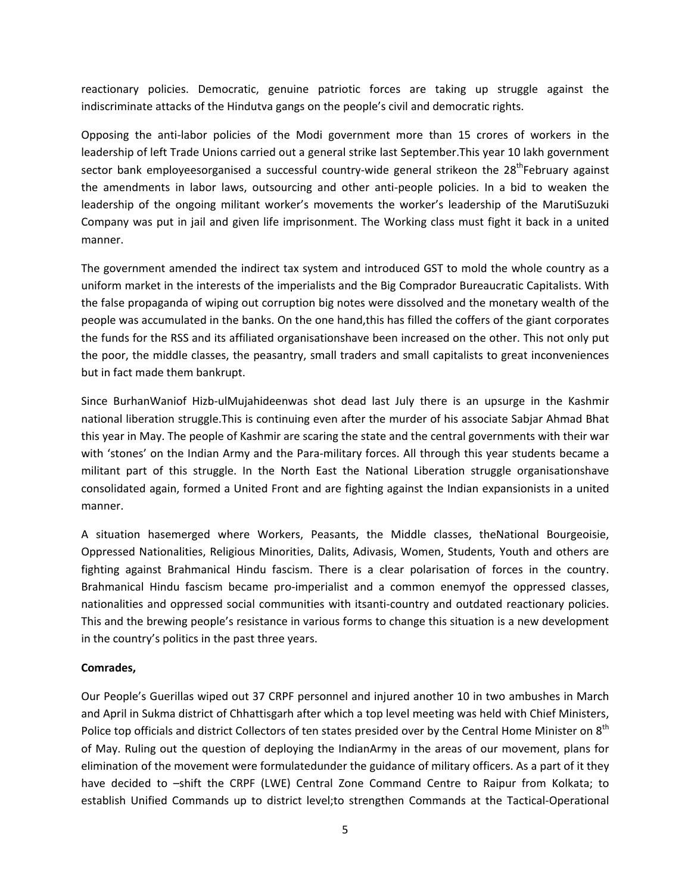reactionary policies. Democratic, genuine patriotic forces are taking up struggle against the indiscriminate attacks of the Hindutva gangs on the people's civil and democratic rights.

Opposing the anti-labor policies of the Modi government more than 15 crores of workers in the leadership of left Trade Unions carried out a general strike last September.This year 10 lakh government sector bank employeesorganised a successful country-wide general strikeon the 28<sup>th</sup>February against the amendments in labor laws, outsourcing and other anti-people policies. In a bid to weaken the leadership of the ongoing militant worker's movements the worker's leadership of the MarutiSuzuki Company was put in jail and given life imprisonment. The Working class must fight it back in a united manner.

The government amended the indirect tax system and introduced GST to mold the whole country as a uniform market in the interests of the imperialists and the Big Comprador Bureaucratic Capitalists. With the false propaganda of wiping out corruption big notes were dissolved and the monetary wealth of the people was accumulated in the banks. On the one hand,this has filled the coffers of the giant corporates the funds for the RSS and its affiliated organisationshave been increased on the other. This not only put the poor, the middle classes, the peasantry, small traders and small capitalists to great inconveniences but in fact made them bankrupt.

Since BurhanWaniof Hizb-ulMujahideenwas shot dead last July there is an upsurge in the Kashmir national liberation struggle.This is continuing even after the murder of his associate Sabjar Ahmad Bhat this year in May. The people of Kashmir are scaring the state and the central governments with their war with 'stones' on the Indian Army and the Para-military forces. All through this year students became a militant part of this struggle. In the North East the National Liberation struggle organisationshave consolidated again, formed a United Front and are fighting against the Indian expansionists in a united manner.

A situation hasemerged where Workers, Peasants, the Middle classes, theNational Bourgeoisie, Oppressed Nationalities, Religious Minorities, Dalits, Adivasis, Women, Students, Youth and others are fighting against Brahmanical Hindu fascism. There is a clear polarisation of forces in the country. Brahmanical Hindu fascism became pro-imperialist and a common enemyof the oppressed classes, nationalities and oppressed social communities with itsanti-country and outdated reactionary policies. This and the brewing people's resistance in various forms to change this situation is a new development in the country's politics in the past three years.

## **Comrades,**

Our People's Guerillas wiped out 37 CRPF personnel and injured another 10 in two ambushes in March and April in Sukma district of Chhattisgarh after which a top level meeting was held with Chief Ministers, Police top officials and district Collectors of ten states presided over by the Central Home Minister on 8<sup>th</sup> of May. Ruling out the question of deploying the IndianArmy in the areas of our movement, plans for elimination of the movement were formulatedunder the guidance of military officers. As a part of it they have decided to –shift the CRPF (LWE) Central Zone Command Centre to Raipur from Kolkata; to establish Unified Commands up to district level;to strengthen Commands at the Tactical-Operational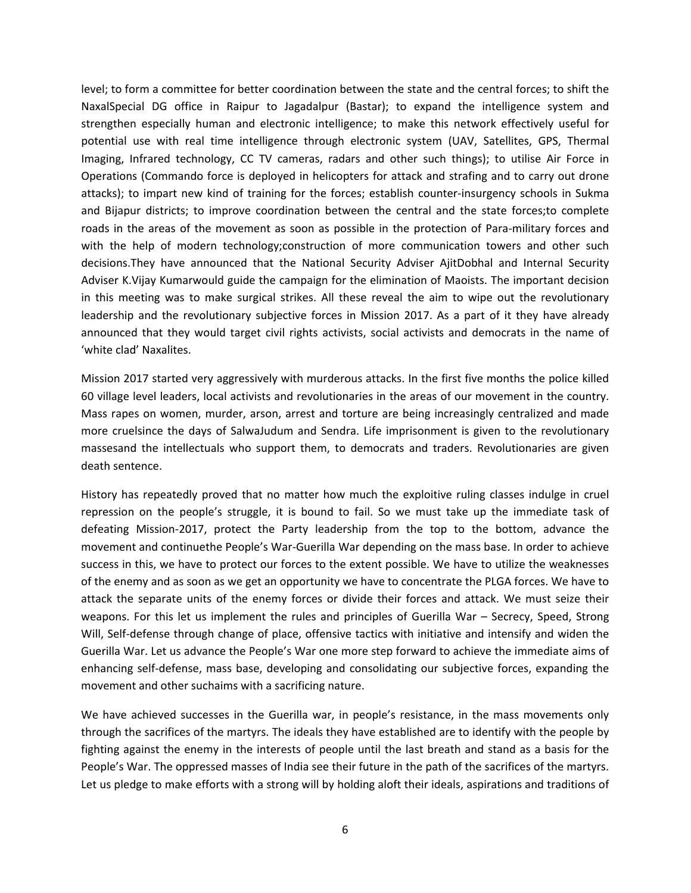level; to form a committee for better coordination between the state and the central forces; to shift the NaxalSpecial DG office in Raipur to Jagadalpur (Bastar); to expand the intelligence system and strengthen especially human and electronic intelligence; to make this network effectively useful for potential use with real time intelligence through electronic system (UAV, Satellites, GPS, Thermal Imaging, Infrared technology, CC TV cameras, radars and other such things); to utilise Air Force in Operations (Commando force is deployed in helicopters for attack and strafing and to carry out drone attacks); to impart new kind of training for the forces; establish counter-insurgency schools in Sukma and Bijapur districts; to improve coordination between the central and the state forces;to complete roads in the areas of the movement as soon as possible in the protection of Para-military forces and with the help of modern technology;construction of more communication towers and other such decisions.They have announced that the National Security Adviser AjitDobhal and Internal Security Adviser K.Vijay Kumarwould guide the campaign for the elimination of Maoists. The important decision in this meeting was to make surgical strikes. All these reveal the aim to wipe out the revolutionary leadership and the revolutionary subjective forces in Mission 2017. As a part of it they have already announced that they would target civil rights activists, social activists and democrats in the name of 'white clad' Naxalites.

Mission 2017 started very aggressively with murderous attacks. In the first five months the police killed 60 village level leaders, local activists and revolutionaries in the areas of our movement in the country. Mass rapes on women, murder, arson, arrest and torture are being increasingly centralized and made more cruelsince the days of SalwaJudum and Sendra. Life imprisonment is given to the revolutionary massesand the intellectuals who support them, to democrats and traders. Revolutionaries are given death sentence.

History has repeatedly proved that no matter how much the exploitive ruling classes indulge in cruel repression on the people's struggle, it is bound to fail. So we must take up the immediate task of defeating Mission-2017, protect the Party leadership from the top to the bottom, advance the movement and continuethe People's War-Guerilla War depending on the mass base. In order to achieve success in this, we have to protect our forces to the extent possible. We have to utilize the weaknesses of the enemy and as soon as we get an opportunity we have to concentrate the PLGA forces. We have to attack the separate units of the enemy forces or divide their forces and attack. We must seize their weapons. For this let us implement the rules and principles of Guerilla War – Secrecy, Speed, Strong Will, Self-defense through change of place, offensive tactics with initiative and intensify and widen the Guerilla War. Let us advance the People's War one more step forward to achieve the immediate aims of enhancing self-defense, mass base, developing and consolidating our subjective forces, expanding the movement and other suchaims with a sacrificing nature.

We have achieved successes in the Guerilla war, in people's resistance, in the mass movements only through the sacrifices of the martyrs. The ideals they have established are to identify with the people by fighting against the enemy in the interests of people until the last breath and stand as a basis for the People's War. The oppressed masses of India see their future in the path of the sacrifices of the martyrs. Let us pledge to make efforts with a strong will by holding aloft their ideals, aspirations and traditions of